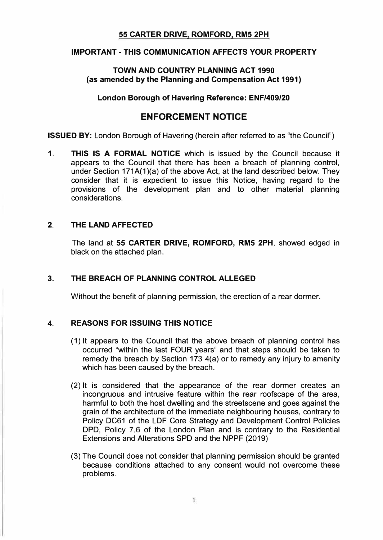# **55 CARTER DRIVE, ROMFORD, RM5 2PH**

# **IMPORTANT-THIS COMMUNICATION AFFECTS YOUR PROPERTY**

### **TOWN AND COUNTRY PLANNING ACT 1990 (as amended by the Planning and Compensation Act 1991)**

#### **London Borough of Havering Reference: ENF/409/20**

# **ENFORCEMENT NOTICE**

**ISSUED BY:** London Borough of Havering (herein after referred to as "the Council")

**1. THIS IS A FORMAL NOTICE** which is issued by the Council because it appears to the Council that there has been a breach of planning control, under Section 171A(1)(a) of the above Act, at the land described below. They consider that it is expedient to issue this Notice, having regard to the provisions of the development plan and to other material planning considerations.

# **2. THE LAND AFFECTED**

The land at **55 CARTER DRIVE, ROMFORD, RM5 2PH,** showed edged in black on the attached plan.

# **3. THE BREACH OF PLANNING CONTROL ALLEGED**

Without the benefit of planning permission, the erection of a rear dormer.

# **4. REASONS FOR ISSUING THIS NOTICE**

- (1) It appears to the Council that the above breach of planning control has occurred "within the last FOUR years" and that steps should be taken to remedy the breach by Section 173 4(a) or to remedy any injury to amenity which has been caused by the breach.
- (2) It is considered that the appearance of the rear dormer creates an incongruous and intrusive feature within the rear roofscape of the area, harmful to both the host dwelling and the streetscene and goes against the grain of the architecture of the immediate neighbouring houses, contrary to Policy DC61 of the LDF Core Strategy and Development Control Policies DPD, Policy 7.6 of the London Plan and is contrary to the Residential Extensions and Alterations SPD and the NPPF (2019)
- (3) The Council does not consider that planning permission should be granted because conditions attached to any consent would not overcome these problems.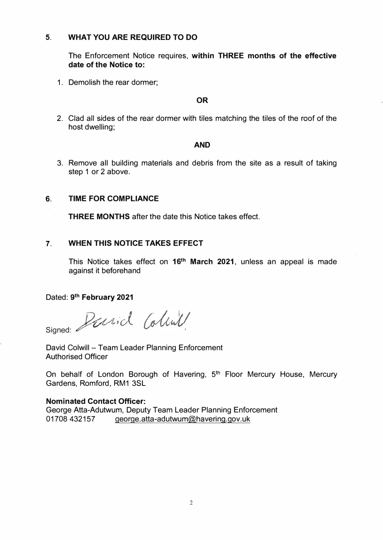# **5. WHAT YOU ARE REQUIRED TO DO**

The Enforcement Notice requires, **within THREE months of the effective date of the Notice to:**

1. Demolish the rear dormer;

#### **OR**

2. Clad all sides of the rear dormer with tiles matching the tiles of the roof of the host dwelling;

#### **AND**

3. Remove all building materials and debris from the site as a result of taking step 1 or 2 above.

# **6. TIME FOR COMPLIANCE**

**THREE MONTHS** after the date this Notice takes effect.

# **7. WHEN THIS NOTICE TAKES EFFECT**

This Notice takes effect on 16<sup>th</sup> March 2021, unless an appeal is made against it beforehand

Dated: **9th February 2021** 

*<sup>D</sup>vt,*v ✓i*,-d\_* Signed:

David Colwill - Team Leader Planning Enforcement Authorised Officer

On behalf of London Borough of Havering, 5<sup>th</sup> Floor Mercury House, Mercury Gardens, Romford, RM1 3SL

# **Nominated Contact Officer:**

George Atta-Adutwum, Deputy Team Leader Planning Enforcement 01708 432157 george.atta-adutwum@havering.gov.uk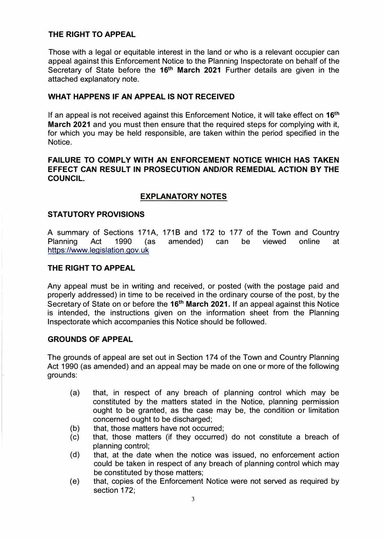#### **THE RIGHT TO APPEAL**

Those with a legal or equitable interest in the land or who is a relevant occupier can appeal against this Enforcement Notice to the Planning Inspectorate on behalf of the Secretary of State before the **16th March 2021** Further details are given in the attached explanatory note.

### **WHAT HAPPENS IF AN APPEAL IS NOT RECEIVED**

If an appeal is not received against this Enforcement Notice, it will take effect on **16th March 2021** and you must then ensure that the required steps for complying with it, for which you may be held responsible, are taken within the period specified in the Notice.

# **FAILURE TO COMPLY WITH AN ENFORCEMENT NOTICE WHICH HAS TAKEN EFFECT CAN RESULT IN PROSECUTION AND/OR REMEDIAL ACTION BY THE COUNCIL.**

# **EXPLANATORY NOTES**

#### **STATUTORY PROVISIONS**

A summary of Sections 171A, 1718 and 172 to 177 of the Town and Country Planning Act 1990 (as amended) can be viewed online at https://www.legislation.gov.uk

#### **THE RIGHT TO APPEAL**

Any appeal must be in writing and received, or posted (with the postage paid and properly addressed) in time to be received in the ordinary course of the post, by the Secretary of State on or before the **16th March 2021.** If an appeal against this Notice is intended, the instructions given on the information sheet from the Planning Inspectorate which accompanies this Notice should be followed.

#### **GROUNDS OF APPEAL**

The grounds of appeal are set out in Section 174 of the Town and Country Planning Act 1990 (as amended) and an appeal may be made on one or more of the following grounds:

- (a) that, in respect of any breach of planning control which may be constituted by the matters stated in the Notice, planning permission ought to be granted, as the case may be, the condition or limitation concerned ought to be discharged;
- (b) that, those matters have not occurred;
- (c) that, those matters (if they occurred) do not constitute a breach of planning control;
- (d) that, at the date when the notice was issued, no enforcement action could be taken in respect of any breach of planning control which may be constituted by those matters;
- (e) that, copies of the Enforcement Notice were not served as required by section 172;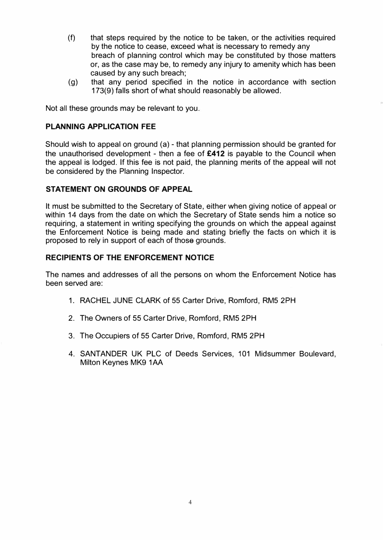- (f) that steps required by the notice to be taken, or the activities required by the notice to cease, exceed what is necessary to remedy any breach of planning control which may be constituted by those matters or, as the case may be, to remedy any injury to amenity which has been caused by any such breach;
- (g) that any period specified in the notice in accordance with section 173(9) falls short of what should reasonably be allowed.

Not all these grounds may be relevant to you.

### **PLANNING APPLICATION FEE**

Should wish to appeal on ground (a) - that planning permission should be granted for the unauthorised development - then a fee of **£412** is payable to the Council when the appeal is lodged. If this fee is not paid, the planning merits of the appeal will not be considered by the Planning Inspector.

# **STATEMENT ON GROUNDS OF APPEAL**

It must be submitted to the Secretary of State, either when giving notice of appeal or within 14 days from the date on which the Secretary of State sends him a notice so requiring, a statement in writing specifying the grounds on which the appeal against the Enforcement Notice is being made and stating briefly the facts on which it is proposed to rely in support of each of those grounds.

#### **RECIPIENTS OF THE ENFORCEMENT NOTICE**

The names and addresses of all the persons on whom the Enforcement Notice has been served are:

- 1. RACHEL JUNE CLARK of 55 Carter Drive, Romford, RM5 2PH
- 2. The Owners of 55 Carter Drive, Romford, RM5 2PH
- 3. The Occupiers of 55 Carter Drive, Romford, RM5 2PH
- 4. SANTANDER UK PLC of Deeds Services, 101 Midsummer Boulevard, Milton Keynes MK9 1AA